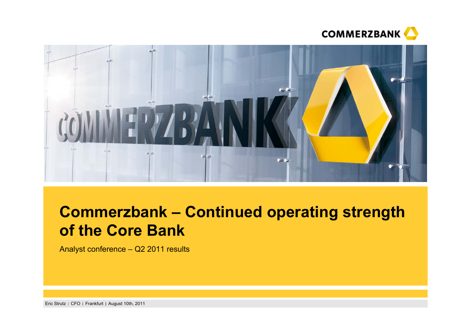



# **Commerzbank – Continued operating strength of the Core Bank**

Analyst conference – Q2 2011 results

Eric Strutz | CFO | Frankfurt | August 10th, 2011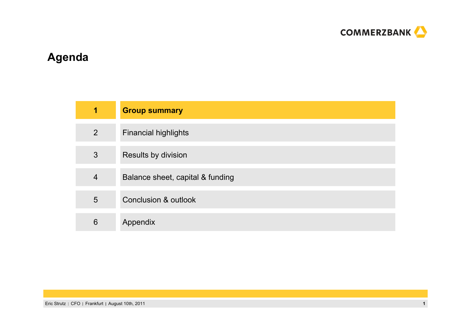

# **Agenda**

| 1              | <b>Group summary</b>             |
|----------------|----------------------------------|
| $\overline{2}$ | <b>Financial highlights</b>      |
| 3              | Results by division              |
| $\overline{4}$ | Balance sheet, capital & funding |
| 5              | <b>Conclusion &amp; outlook</b>  |
| 6              | Appendix                         |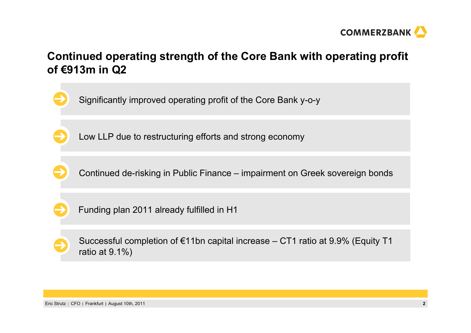

# **Continued operating strength of the Core Bank with operating profit of €913m in Q2**

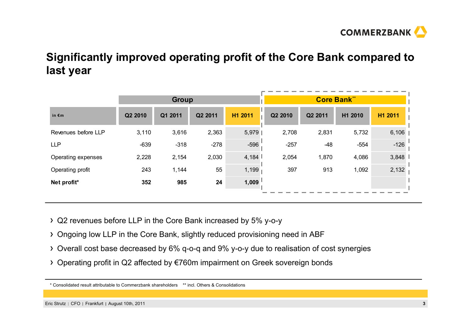

# **Significantly improved operating profit of the Core Bank compared to last year**

|                     | <b>Group</b> |         |         |            |         | <b>Core Bank**</b> |         |         |
|---------------------|--------------|---------|---------|------------|---------|--------------------|---------|---------|
| in $\epsilon$ m     | Q2 2010      | Q1 2011 | Q2 2011 | H1 2011    | Q2 2010 | Q2 2011            | H1 2010 | H1 2011 |
| Revenues before LLP | 3,110        | 3,616   | 2,363   | 5,979      | 2,708   | 2,831              | 5,732   | 6,106   |
| <b>LLP</b>          | $-639$       | $-318$  | $-278$  | $-596$     | $-257$  | $-48$              | $-554$  | $-126$  |
| Operating expenses  | 2,228        | 2,154   | 2,030   | 4,184 $\ $ | 2,054   | 1,870              | 4,086   | 3,848   |
| Operating profit    | 243          | 1,144   | 55      | 1,199      | 397     | 913                | 1,092   | 2,132   |
| Net profit*         | 352          | 985     | 24      | 1,009      |         |                    |         |         |
|                     |              |         |         |            |         |                    |         |         |

Q2 revenues before LLP in the Core Bank increased by 5% y-o-y

- Ongoing low LLP in the Core Bank, slightly reduced provisioning need in ABF
- Overall cost base decreased by 6% q-o-q and 9% y-o-y due to realisation of cost synergies
- Operating profit in Q2 affected by €760m impairment on Greek sovereign bonds

<sup>\*</sup> Consolidated result attributable to Commerzbank shareholders \*\* incl. Others & Consolidations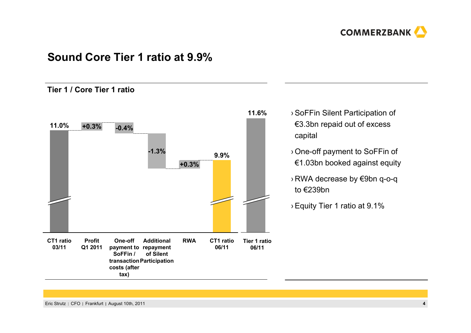

### **Sound Core Tier 1 ratio at 9.9%**

### **Tier 1 / Core Tier 1 ratio**



- › SoFFin Silent Participation of €3.3bn repaid out of excess capital
	- › One-off payment to SoFFin of €1.03bn booked against equity
	- › RWA decrease by €9bn q-o-q to €239bn
	- › Equity Tier 1 ratio at 9.1%

Eric Strutz CFO Frankfurt August 10th, 2011 **4**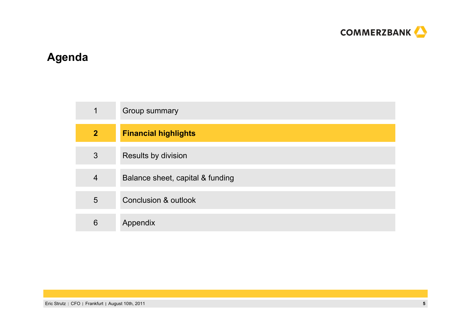

# **Agenda**

| $\mathbf 1$    | Group summary                    |
|----------------|----------------------------------|
| $\overline{2}$ | <b>Financial highlights</b>      |
| 3              | Results by division              |
| $\overline{4}$ | Balance sheet, capital & funding |
| 5              | <b>Conclusion &amp; outlook</b>  |
| 6              | Appendix                         |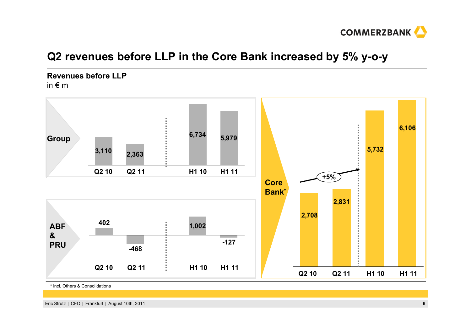

# **Q2 revenues before LLP in the Core Bank increased by 5% y-o-y**

**Revenues before LLP**in  $\epsilon$  m



\* incl. Others & Consolidations

Eric Strutz | CFO | Frankfurt | August 10th, 2011 **6**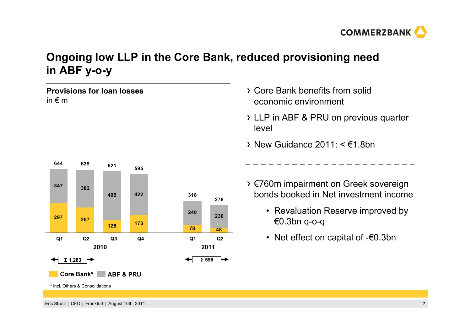

# **Ongoing low LLP in the Core Bank, reduced provisioning need in ABF y-o-y**

**Provisions for loan losses**in  $\epsilon$  m



- Core Bank benefits from solid economic environment
- LLP in ABF & PRU on previous quarter level
- $\rightarrow$  New Guidance 2011: <  $\epsilon$ 1.8bn
- €760m impairment on Greek sovereign bonds booked in Net investment income
	- Revaluation Reserve improved by €0.3bn q-o-q
	- Net effect on capital of -€0.3bn

Eric Strutz CFO Frankfurt August 10th, 2011 **7**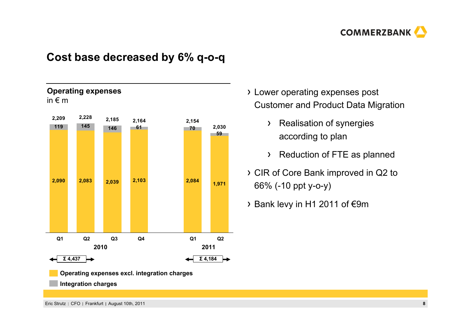

# **Cost base decreased by 6% q-o-q**



- Lower operating expenses post Customer and Product Data Migration
	- > Realisation of synergies according to plan
	- Reduction of FTE as planned
- CIR of Core Bank improved in Q2 to 66% (-10 ppt y-o-y)
- Bank levy in H1 2011 of €9m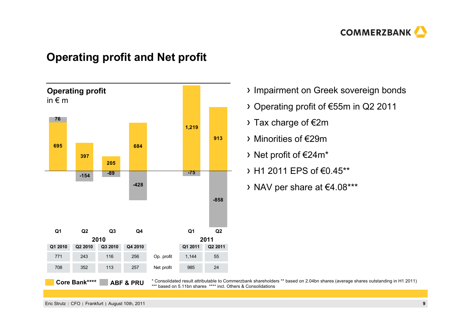

## **Operating profit and Net profit**



- > Impairment on Greek sovereign bonds
- Operating profit of €55m in Q2 2011
- $\rightarrow$  Tax charge of  $\epsilon$ 2m
- Minorities of €29m
- Net profit of €24m\*
- $\rightarrow$  H1 2011 FPS of €0.45\*\*
- NAV per share at €4.08\*\*\*

\* Consolidated result attributable to Commerzbank shareholders \*\* based on 2.04bn shares (average shares outstanding in H1 2011) \*\*\* based on 5.11bn shares \*\*\*\* incl. Others & Consolidations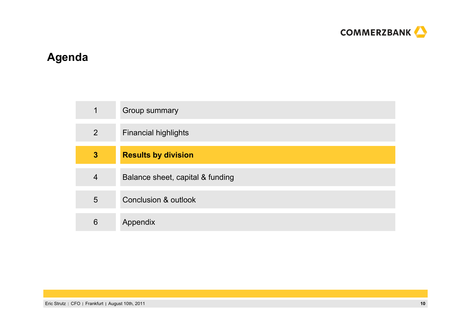

# **Agenda**

| $\mathbf 1$    | Group summary                    |
|----------------|----------------------------------|
| $\overline{2}$ | <b>Financial highlights</b>      |
| $\mathbf{3}$   | <b>Results by division</b>       |
| $\overline{4}$ | Balance sheet, capital & funding |
| 5              | Conclusion & outlook             |
| 6              | Appendix                         |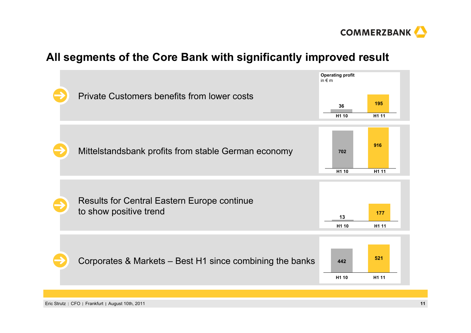

# **All segments of the Core Bank with significantly improved result**



Eric Strutz CFO Frankfurt August 10th, 2011 **11**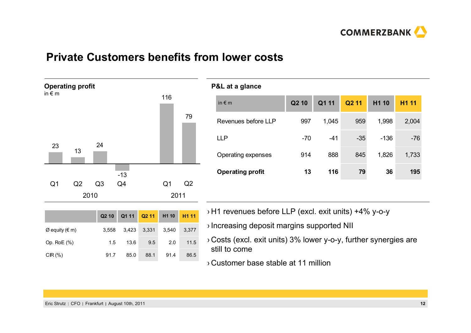

# **Private Customers benefits from lower costs**



|                | Q <sub>2</sub> 10 | Q1 11 Q2 11 H1 10 |       |       | H <sub>1</sub> 11 |   |
|----------------|-------------------|-------------------|-------|-------|-------------------|---|
| Ø equity (€ m) | 3,558             | 3,423             | 3,331 | 3,540 | 3,377             |   |
| Op. RoE (%)    | 1.5               | 13.6              | 9.5   | 2.0   | 11.5              | ᠈ |
| CIR (%)        | 91.7              | 85.0              | 88.1  | 91.4  | 86.5              |   |

| <b>P&amp;L</b> at a glance |                   |       |                   |        |             |
|----------------------------|-------------------|-------|-------------------|--------|-------------|
| in $\notin$ m              | Q <sub>2</sub> 10 | Q1 11 | Q <sub>2</sub> 11 | H1 10  | <b>H111</b> |
| Revenues before LLP        | 997               | 1,045 | 959               | 1,998  | 2,004       |
| <b>LLP</b>                 | $-70$             | $-41$ | $-35$             | $-136$ | $-76$       |
| Operating expenses         | 914               | 888   | 845               | 1,826  | 1,733       |
| <b>Operating profit</b>    | 13                | 116   | 79                | 36     | 195         |
|                            |                   |       |                   |        |             |

- H1 revenues before LLP (excl. exit units) +4% y-o-y
- Increasing deposit margins supported NII
- Costs (excl. exit units) 3% lower y-o-y, further synergies are still to come
- › Customer base stable at 11 million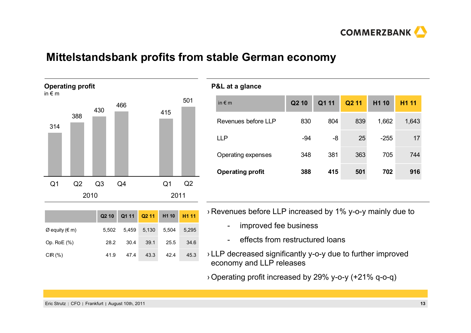

### **Mittelstandsbank profits from stable German economy**



|                                 | Q <sub>2</sub> 10 | Q1 11 |       | Q2 11 H1 10 | H <sub>1</sub> 11 |
|---------------------------------|-------------------|-------|-------|-------------|-------------------|
| $\varnothing$ equity ( $\in$ m) | 5.502             | 5,459 | 5,130 | 5.504       | 5,295             |
| Op. RoE (%)                     | 28.2              | 30.4  | 39.1  | 25.5        | 34.6              |
| $CIR(\%)$                       | 41.9              | 47.4  | 43.3  | 42.4        | 45.3              |

#### **P&L at a glance**

| in $\notin$ m           | Q <sub>2</sub> 10 | Q1 11 | Q <sub>2</sub> 11 | H <sub>1</sub> 10 | <b>H111</b> |
|-------------------------|-------------------|-------|-------------------|-------------------|-------------|
| Revenues before LLP     | 830               | 804   | 839               | 1,662             | 1,643       |
| <b>LLP</b>              | $-94$             | -8    | 25                | $-255$            | 17          |
| Operating expenses      | 348               | 381   | 363               | 705               | 744         |
| <b>Operating profit</b> | 388               | 415   | 501               | 702               | 916         |
|                         |                   |       |                   |                   |             |

› Revenues before LLP increased by 1% y-o-y mainly due to

- improved fee business
- effects from restructured loans
- › LLP decreased significantly y-o-y due to further improved economy and LLP releases
- › Operating profit increased by 29% y-o-y (+21% q-o-q)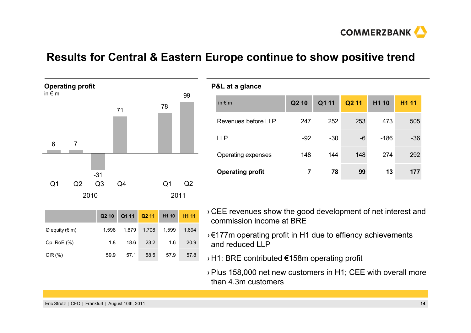

**COMMERZBANK** 

# **Results for Central & Eastern Europe continue to show positive trend**



|                  | Q210  |       |       | Q1 11 Q2 11 H1 10 H1 11 |       |
|------------------|-------|-------|-------|-------------------------|-------|
| $Ø$ equity (€ m) | 1.598 | 1,679 | 1,708 | 1,599                   | 1,694 |
| Op. RoE (%)      | 1.8   | 18.6  | 23.2  | 1.6                     | 20.9  |
| CIR $(\%)$       | 59.9  | 57.1  | 58.5  | 57.9                    | 57.8  |

| P&L at a glance         |       |       |                   |        |                   |
|-------------------------|-------|-------|-------------------|--------|-------------------|
| in $\notin$ m           | Q2 10 | Q1 11 | Q <sub>2</sub> 11 | H1 10  | H <sub>1</sub> 11 |
| Revenues before LLP     | 247   | 252   | 253               | 473    | 505               |
| <b>LLP</b>              | $-92$ | $-30$ | $-6$              | $-186$ | $-36$             |
| Operating expenses      | 148   | 144   | 148               | 274    | 292               |
| <b>Operating profit</b> | 7     | 78    | 99                | 13     | 177               |
|                         |       |       |                   |        |                   |

- › CEE revenues show the good development of net interest and commission income at BRE
- › €177m operating profit in H1 due to effiency achievements and reduced LLP
- › H1: BRE contributed €158m operating profit
	- › Plus 158,000 net new customers in H1; CEE with overall more than 4.3m customers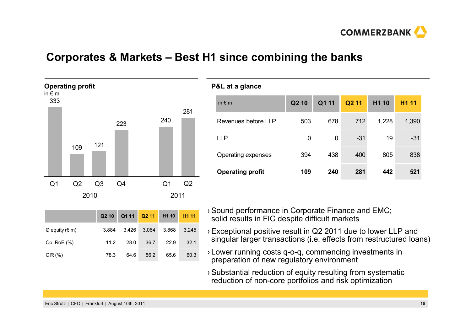

### **Corporates & Markets – Best H1 since combining the banks**



|                  | Q <sub>2</sub> 10 |       |       | Q1 11 Q2 11 H1 10 H1 11 |       |
|------------------|-------------------|-------|-------|-------------------------|-------|
| $Ø$ equity (€ m) | 3.884             | 3.426 | 3,064 | 3,868                   | 3.245 |
| Op. RoE (%)      | 11.2              | 28.0  | 36.7  | 22.9                    | 32.1  |
| $CIR(\%)$        | 78.3              | 64.6  | 56.2  | 65.6                    | 60.3  |

#### **P&L at a glance**

| in $\notin$ m           | Q <sub>2</sub> 10 | Q1 11 | Q <sub>2</sub> 11 | H <sub>1</sub> 10 | <b>H111</b> |
|-------------------------|-------------------|-------|-------------------|-------------------|-------------|
| Revenues before LLP     | 503               | 678   | 712               | 1,228             | 1,390       |
| <b>LLP</b>              | 0                 | 0     | $-31$             | 19                | $-31$       |
| Operating expenses      | 394               | 438   | 400               | 805               | 838         |
| <b>Operating profit</b> | 109               | 240   | 281               | 442               | 521         |
|                         |                   |       |                   |                   |             |

- › Sound performance in Corporate Finance and EMC; solid results in FIC despite difficult markets
- › Exceptional positive result in Q2 2011 due to lower LLP and singular larger transactions (i.e. effects from restructured loans)
- › Lower running costs q-o-q, commencing investments in preparation of new regulatory environment
- › Substantial reduction of equity resulting from systematic reduction of non-core portfolios and risk optimization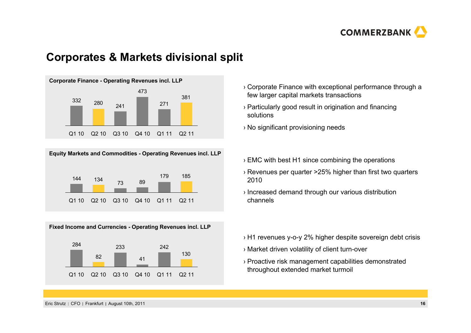

### **Corporates & Markets divisional split**







- › Corporate Finance with exceptional performance through a few larger capital markets transactions
- › Particularly good result in origination and financing solutions
- › No significant provisioning needs
- › EMC with best H1 since combining the operations
- › Revenues per quarter >25% higher than first two quarters 2010
- › Increased demand through our various distribution channels
- › H1 revenues y-o-y 2% higher despite sovereign debt crisis
- › Market driven volatility of client turn-over
- › Proactive risk management capabilities demonstrated throughout extended market turmoil

Eric Strutz CFO Frankfurt August 10th, 2011 **16**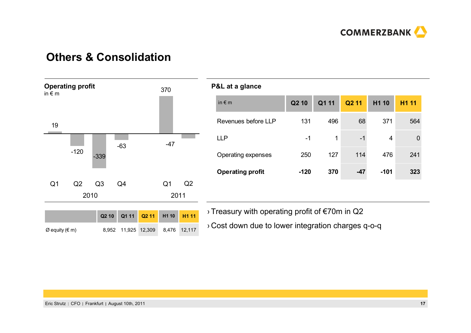

# **Others & Consolidation**



|                         | P&L at a glance     |                   |       |                   |                   |                   |
|-------------------------|---------------------|-------------------|-------|-------------------|-------------------|-------------------|
|                         | in $\notin$ m       | Q <sub>2</sub> 10 | Q1 11 | Q <sub>2</sub> 11 | H <sub>1</sub> 10 | H <sub>1</sub> 11 |
|                         | Revenues before LLP | 131               | 496   | 68                | 371               | 564               |
|                         | <b>LLP</b>          | $-1$              | 1     | $-1$              | 4                 | 0                 |
|                         | Operating expenses  | 250               | 127   | 114               | 476               | 241               |
| <b>Operating profit</b> |                     | $-120$            | 370   | $-47$             | $-101$            | 323               |
|                         |                     |                   |       |                   |                   |                   |

› Treasury with operating profit of €70m in Q2

› Cost down due to lower integration charges q-o-q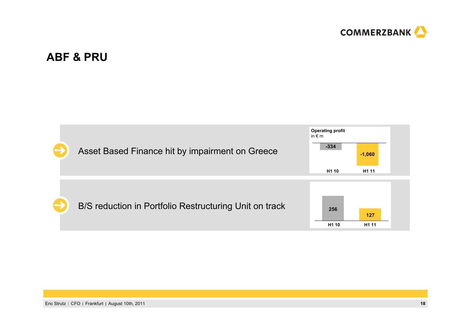

# **ABF & PRU**

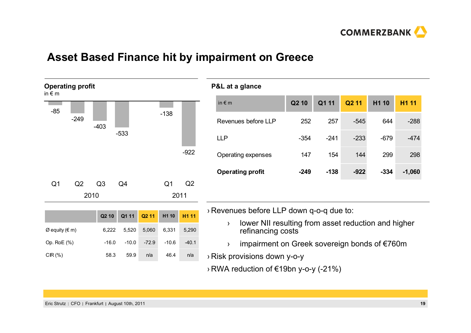

# **Asset Based Finance hit by impairment on Greece**



| in $\notin$ m           | Q <sub>2</sub> 10 | Q1 11  | Q <sub>2</sub> 11 | H <sub>1</sub> 10 | <b>H111</b> |
|-------------------------|-------------------|--------|-------------------|-------------------|-------------|
| Revenues before LLP     | 252               | 257    | $-545$            | 644               | $-288$      |
| <b>LLP</b>              | $-354$            | $-241$ | $-233$            | $-679$            | $-474$      |
| Operating expenses      | 147               | 154    | 144               | 299               | 298         |
| <b>Operating profit</b> | $-249$            | $-138$ | $-922$            | $-334$            | $-1,060$    |

› Revenues before LLP down q-o-q due to:

› lower NII resulting from asset reduction and higher refinancing costs

- ›impairment on Greek sovereign bonds of €760m
- › Risk provisions down y-o-y

**P&L at a glance**

› RWA reduction of €19bn y-o-y (-21%)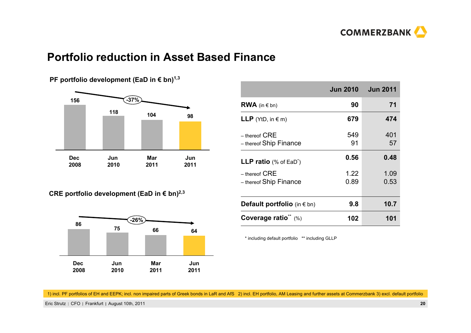

### **Portfolio reduction in Asset Based Finance**



**PF portfolio development (EaD in € bn)<sup>1,3</sup>** 

|  | CRE portfolio development (EaD in € bn) <sup>2,3</sup> |  |  |  |  |  |
|--|--------------------------------------------------------|--|--|--|--|--|
|--|--------------------------------------------------------|--|--|--|--|--|



|                                             |              | <b>Jun 2010   Jun 2011</b> |
|---------------------------------------------|--------------|----------------------------|
| <b>RWA</b> (in $\in$ bn)                    | 90           | 71                         |
| <b>LLP</b> (YtD, in $\in$ m)                | 679          | 474                        |
| $-$ thereof $CRE$<br>- thereof Ship Finance | 549<br>91    | 401<br>57                  |
| <b>LLP ratio</b> (% of EaD <sup>*</sup> )   | 0.56         | 0.48                       |
| $-$ thereof $CRE$<br>- thereof Ship Finance | 1.22<br>0.89 | 1.09<br>0.53               |
| Default portfolio (in $\in$ bn)             | 9.8          | 10.7                       |
| Coverage ratio <sup>**</sup> (%)            | 102          | 101                        |

\* including default portfolio \*\* including GLLP

1) incl. PF portfolios of EH and EEPK; incl. non impaired parts of Greek bonds in LaR and AfS 2) incl. EH portfolio, AM Leasing and further assets at Commerzbank 3) excl. default portfolio

Eric Strutz CFO Frankfurt August 10th, 2011 **20**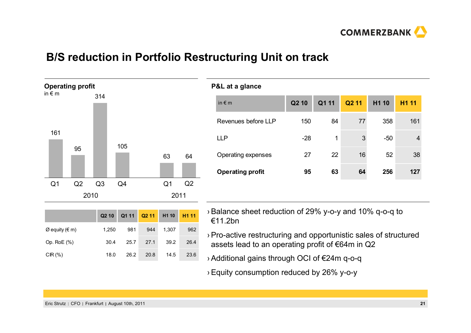

# **B/S reduction in Portfolio Restructuring Unit on track**



|                  | Q <sub>2</sub> 10 |      | $Q111$ $Q211$ | H <sub>1</sub> 10 | H <sub>1</sub> 11 |
|------------------|-------------------|------|---------------|-------------------|-------------------|
| $Ø$ equity (€ m) | 1,250             | 981  | 944           | 1.307             | 962               |
| Op. RoE (%)      | 30.4              | 25.7 | 27.1          | 39.2              | 26.4              |
| $CIR(\%)$        | 18.0              | 26.2 | 20.8          | 14.5              | 23.6              |

#### **P&L at a glance**

| in $\epsilon$ m         | Q <sub>2</sub> 10 | Q1 11 | Q <sub>2</sub> 11 | H1 10 | <b>H111</b>    |
|-------------------------|-------------------|-------|-------------------|-------|----------------|
| Revenues before LLP     | 150               | 84    | 77                | 358   | 161            |
| <b>LLP</b>              | $-28$             | 1     | 3                 | $-50$ | $\overline{4}$ |
| Operating expenses      | 27                | 22    | 16                | 52    | 38             |
| <b>Operating profit</b> | 95                | 63    | 64                | 256   | 127            |
|                         |                   |       |                   |       |                |

- › Balance sheet reduction of 29% y-o-y and 10% q-o-q to €11.2bn
- › Pro-active restructuring and opportunistic sales of structured assets lead to an operating profit of €64m in Q2
- › Additional gains through OCI of €24m q-o-q
- › Equity consumption reduced by 26% y-o-y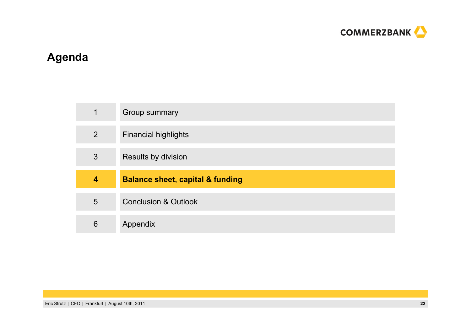

# **Agenda**

| 1              | Group summary                               |
|----------------|---------------------------------------------|
| $\overline{2}$ | <b>Financial highlights</b>                 |
| 3              | Results by division                         |
|                |                                             |
| 4              | <b>Balance sheet, capital &amp; funding</b> |
| 5              | <b>Conclusion &amp; Outlook</b>             |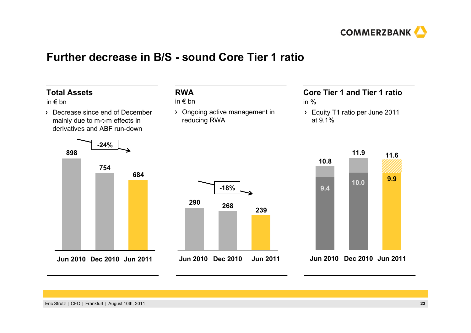

### **Further decrease in B/S - sound Core Tier 1 ratio**

### **Total Assets**

#### in € bn

Decrease since end of December mainly due to m-t-m effects in derivatives and ABF run-down

### **RWA**

#### in € bn

Ongoing active management in reducing RWA

# **Core Tier 1 and Tier 1 ratio**

- in %
- Equity T1 ratio per June 2011 at 9.1%







#### **Jun 2011 Dec 2010 Jun 2010**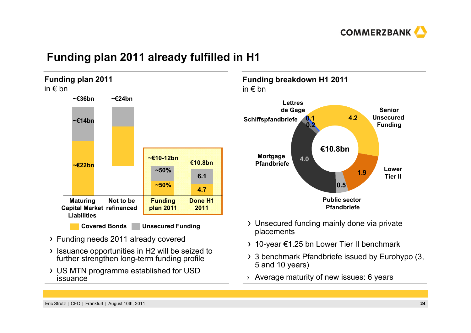

# **Funding plan 2011 already fulfilled in H1**



- Funding needs 2011 already covered
- Issuance opportunities in H2 will be seized to further strengthen long-term funding profile
- US MTN programme established for USD issuance





- Unsecured funding mainly done via private placements
- 10-year €1.25 bn Lower Tier II benchmark
- 3 benchmark Pfandbriefe issued by Eurohypo (3, 5 and 10 years)
- › Average maturity of new issues: 6 years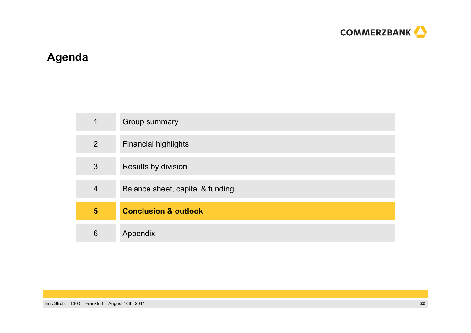

# **Agenda**

| 1              | Group summary                    |
|----------------|----------------------------------|
| 2              | <b>Financial highlights</b>      |
| 3              | Results by division              |
| $\overline{4}$ | Balance sheet, capital & funding |
| $5\phantom{1}$ | <b>Conclusion &amp; outlook</b>  |
| 6              | Appendix                         |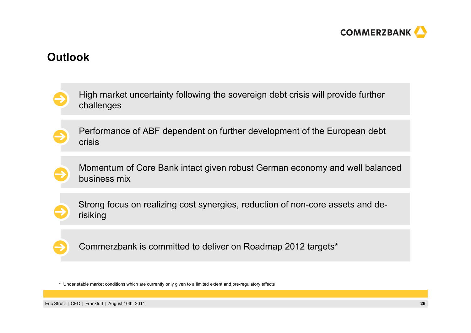

### **Outlook**

| High market uncertainty following the sovereign debt crisis will provide further<br>challenges |
|------------------------------------------------------------------------------------------------|
| Performance of ABF dependent on further development of the European debt<br><b>crisis</b>      |
| Momentum of Core Bank intact given robust German economy and well balanced<br>business mix     |
| Strong focus on realizing cost synergies, reduction of non-core assets and de-<br>risiking     |
| Commerzbank is committed to deliver on Roadmap 2012 targets*                                   |

\* Under stable market conditions which are currently only given to a limited extent and pre-regulatory effects

Eric Strutz | CFO | Frankfurt | August 10th, 2011 **26** and 2012 **26** and 2012 **26** and 2012 **26** and 2012 **26** and 2012 **26** and 2012 **26** and 2012 **26** and 2012 **26** and 2012 **26** and 2012 **26** and 2012 **26** and 2012 **26**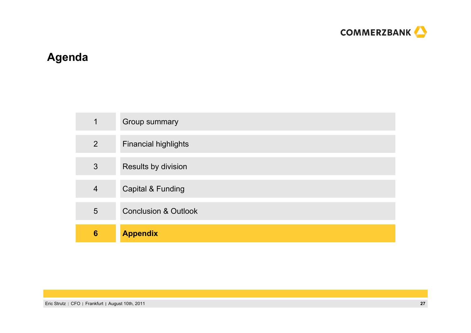

# **Agenda**

| 2 <sup>1</sup>  | <b>Financial highlights</b>     |
|-----------------|---------------------------------|
| 3               | Results by division             |
| $\overline{4}$  | <b>Capital &amp; Funding</b>    |
| $5\overline{)}$ | <b>Conclusion &amp; Outlook</b> |
| 6               | <b>Appendix</b>                 |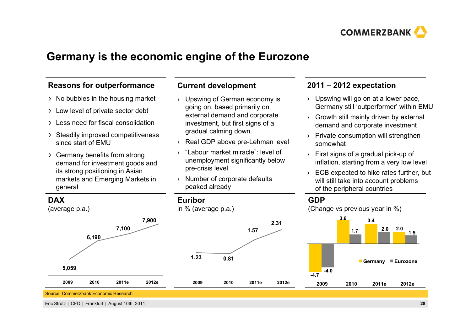

# **Germany is the economic engine of the Eurozone**

### **Reasons for outperformance**

- $\rightarrow$  No bubbles in the housing market
- Low level of private sector debt
- Less need for fiscal consolidation
- > Steadily improved competitiveness since start of EMU
- Germany benefits from strong demand for investment goods and its strong positioning in Asian markets and Emerging Markets in general

### **Current development**

- › Upswing of German economy is going on, based primarily on external demand and corporate investment, but first signs of a gradual calming down.
- › Real GDP above pre-Lehman level
- › "Labour market miracle": level of unemployment significantly below pre-crisis level
- › Number of corporate defaults peaked already

#### **2011 – 2012 expectation**

- › Upswing will go on at a lower pace, Germany still 'outperformer' within EMU
- › Growth still mainly driven by external demand and corporate investment
- › Private consumption will strengthen somewhat
- › First signs of a gradual pick-up of inflation, starting from a very low level
- › ECB expected to hike rates further, but will still take into account problems of the peripheral countries

#### **GDP**



Eric Strutz CFO Frankfurt August 10th, 2011 **28**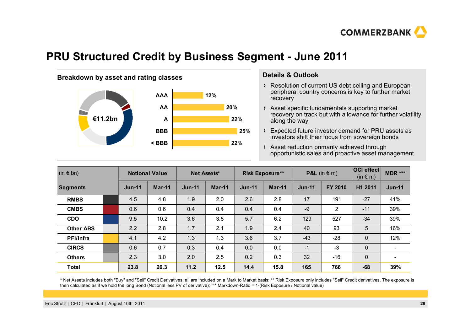

# **PRU Structured Credit by Business Segment - June 2011**



- Resolution of current US debt ceiling and European peripheral country concerns is key to further market recovery
- Asset specific fundamentals supporting market recovery on track but with allowance for further volatility along the way
- Expected future investor demand for PRU assets as investors shift their focus from sovereign bonds

Asset reduction primarily achieved through opportunistic sales and proactive asset management

| $(in \in bn)$    |  | <b>Notional Value</b> |          | Net Assets*   |               | <b>Risk Exposure**</b> |          | <b>P&amp;L</b> (in $\in$ m) |         | OCI effect<br>$(in \in m)$ | MDR ***                  |
|------------------|--|-----------------------|----------|---------------|---------------|------------------------|----------|-----------------------------|---------|----------------------------|--------------------------|
| <b>Segments</b>  |  | $Jun-11$              | $Mar-11$ | <b>Jun-11</b> | <b>Mar-11</b> | $Jun-11$               | $Mar-11$ | $Jun-11$                    | FY 2010 | H1 2011                    | $Jun-11$                 |
| <b>RMBS</b>      |  | 4.5                   | 4.8      | 1.9           | 2.0           | 2.6                    | 2.8      | 17                          | 191     | $-27$                      | 41%                      |
| <b>CMBS</b>      |  | 0.6                   | 0.6      | 0.4           | 0.4           | 0.4                    | 0.4      | $-9$                        | 2       | $-11$                      | 39%                      |
| <b>CDO</b>       |  | 9.5                   | 10.2     | 3.6           | 3.8           | 5.7                    | 6.2      | 129                         | 527     | $-34$                      | 39%                      |
| <b>Other ABS</b> |  | 2.2                   | 2.8      | 1.7           | 2.1           | 1.9                    | 2.4      | 40                          | 93      | 5                          | 16%                      |
| PFI/Infra        |  | 4.1                   | 4.2      | 1.3           | 1.3           | 3.6                    | 3.7      | $-43$                       | $-28$   | $\mathbf 0$                | 12%                      |
| <b>CIRCS</b>     |  | 0.6                   | 0.7      | 0.3           | 0.4           | 0.0                    | 0.0      | $-1$                        | $-3$    | $\mathbf 0$                |                          |
| <b>Others</b>    |  | 2.3                   | 3.0      | 2.0           | 2.5           | 0.2                    | 0.3      | 32                          | $-16$   | $\mathbf 0$                | $\overline{\phantom{0}}$ |
| <b>Total</b>     |  | 23.8                  | 26.3     | 11.2          | 12.5          | 14.4                   | 15.8     | 165                         | 766     | $-68$                      | 39%                      |

\* Net Assets includes both "Buy" and "Sell" Credit Derivatives; all are included on a Mark to Market basis; \*\* Risk Exposure only includes "Sell" Credit derivatives. The exposure is then calculated as if we hold the long Bond (Notional less PV of derivative); \*\*\* Markdown-Ratio = 1-(Risk Exposure / Notional value)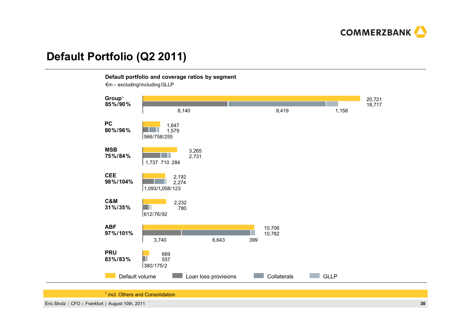

# **Default Portfolio (Q2 2011)**

**Default portfolio and coverage ratios by segment**

 $\epsilon$ m – excluding/including GLLP



<sup>1</sup> incl. Others and Consolidation

Eric Strutz CFO Frankfurt August 10th, 2011 **30**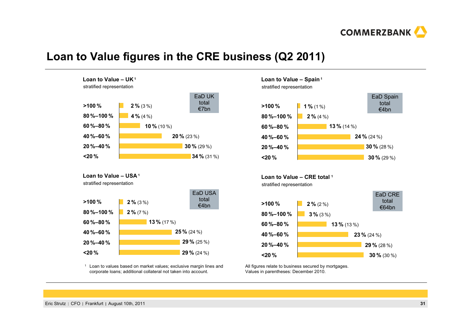

# **Loan to Value figures in the CRE business (Q2 2011)**



**Loan to Value – USA <sup>1</sup>**

stratified representation



1 Loan to values based on market values; exclusive margin lines and corporate loans; additional collateral not taken into account.

#### **Loan to Value – Spain <sup>1</sup>**

stratified representation



**Loan to Value – CRE total <sup>1</sup>** stratified representation



All figures relate to business secured by mortgages. Values in parentheses: December 2010.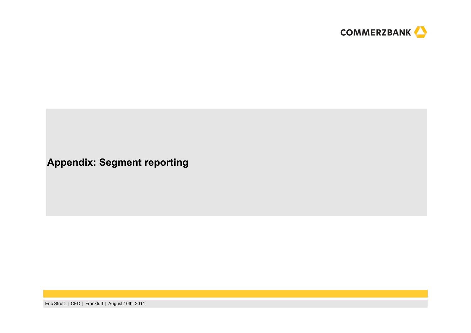

**Appendix: Segment reporting**

Eric Strutz | CFO | Frankfurt | August 10th, 2011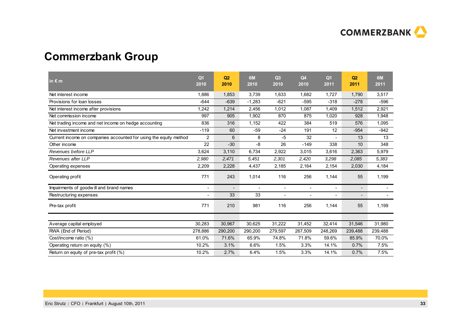

# **Commerzbank Group**

| in $\epsilon$ m                                                   | Q <sub>1</sub><br>2010   | Q <sub>2</sub><br>2010   | 6M<br>2010               | Q3<br>2010               | Q <sub>4</sub><br>2010   | Q <sub>1</sub><br>2011   | Q <sub>2</sub><br>2011   | 6M<br>2011               |
|-------------------------------------------------------------------|--------------------------|--------------------------|--------------------------|--------------------------|--------------------------|--------------------------|--------------------------|--------------------------|
| Net interest income                                               | 1,886                    | 1,853                    | 3,739                    | 1,633                    | 1,682                    | 1,727                    | 1,790                    | 3,517                    |
| Provisions for loan losses                                        | $-644$                   | $-639$                   | $-1,283$                 | $-621$                   | $-595$                   | $-318$                   | $-278$                   | $-596$                   |
| Net interest income after provisions                              | 1,242                    | 1,214                    | 2,456                    | 1,012                    | 1,087                    | 1,409                    | 1,512                    | 2,921                    |
| Net commission income                                             | 997                      | 905                      | 1,902                    | 870                      | 875                      | 1,020                    | 928                      | 1,948                    |
| Net trading income and net income on hedge accounting             | 836                      | 316                      | 1,152                    | 422                      | 384                      | 519                      | 576                      | 1,095                    |
| Net investment income                                             | $-119$                   | 60                       | $-59$                    | $-24$                    | 191                      | 12                       | $-954$                   | $-942$                   |
| Current income on companies accounted for using the equity method | 2                        | 6                        | 8                        | $-5$                     | 32                       |                          | 13                       | 13                       |
| Other income                                                      | 22                       | $-30$                    | -8                       | 26                       | $-149$                   | 338                      | 10                       | 348                      |
| Revenues before LLP                                               | 3,624                    | 3,110                    | 6,734                    | 2,922                    | 3.015                    | 3,616                    | 2,363                    | 5,979                    |
| Revenues after LLP                                                | 2,980                    | 2,471                    | 5,451                    | 2,301                    | 2,420                    | 3,298                    | 2,085                    | 5,383                    |
| Operating expenses                                                | 2,209                    | 2,228                    | 4,437                    | 2,185                    | 2,164                    | 2,154                    | 2,030                    | 4,184                    |
| Operating profit                                                  | 771                      | 243                      | 1,014                    | 116                      | 256                      | 1,144                    | 55                       | 1,199                    |
| Impairments of goodwill and brand names                           | $\overline{\phantom{a}}$ | $\overline{\phantom{a}}$ | $\overline{\phantom{a}}$ | $\overline{\phantom{a}}$ | $\overline{\phantom{a}}$ | $\overline{\phantom{a}}$ | $\overline{\phantom{a}}$ | $\overline{\phantom{a}}$ |
| Restructuring expenses                                            | $\overline{\phantom{a}}$ | 33                       | 33                       | $\blacksquare$           | $\overline{\phantom{a}}$ | $\overline{\phantom{a}}$ | $\overline{\phantom{a}}$ | $\blacksquare$           |
| Pre-tax profit                                                    | 771                      | 210                      | 981                      | 116                      | 256                      | 1,144                    | 55                       | 1,199                    |
|                                                                   |                          |                          |                          |                          |                          |                          |                          |                          |
| Average capital employed                                          | 30,283                   | 30,967                   | 30,625                   | 31,222                   | 31,452                   | 32,414                   | 31,546                   | 31,980                   |
| RWA (End of Period)                                               | 278,886                  | 290,200                  | 290,200                  | 279,597                  | 267,509                  | 248,269                  | 239,488                  | 239,488                  |
| Cost/income ratio (%)                                             | 61.0%                    | 71.6%                    | 65.9%                    | 74.8%                    | 71.8%                    | 59.6%                    | 85.9%                    | 70.0%                    |
| Operating return on equity (%)                                    | 10.2%                    | 3.1%                     | 6.6%                     | 1.5%                     | 3.3%                     | 14.1%                    | 0.7%                     | 7.5%                     |
| Return on equity of pre-tax profit (%)                            | 10.2%                    | 2.7%                     | 6.4%                     | 1.5%                     | 3.3%                     | 14.1%                    | 0.7%                     | 7.5%                     |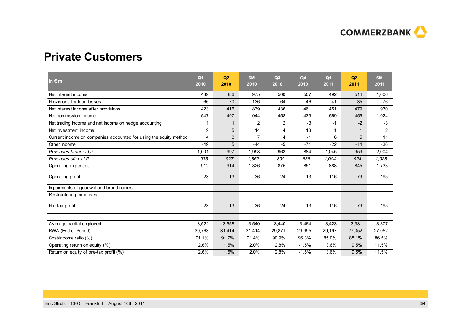

### **Private Customers**

| in $\epsilon$ m                                                   | Q <sub>1</sub><br>2010   | Q2<br>2010               | 6M<br>2010               | Q3<br>2010               | Q <sub>4</sub><br>2010   | Q <sub>1</sub><br>2011   | Q2<br>2011               | 6M<br>2011               |
|-------------------------------------------------------------------|--------------------------|--------------------------|--------------------------|--------------------------|--------------------------|--------------------------|--------------------------|--------------------------|
| Net interest income                                               | 489                      | 486                      | 975                      | 500                      | 507                      | 492                      | 514                      | 1,006                    |
| Provisions for loan losses                                        | $-66$                    | $-70$                    | $-136$                   | $-64$                    | $-46$                    | $-41$                    | $-35$                    | $-76$                    |
| Net interest income after provisions                              | 423                      | 416                      | 839                      | 436                      | 461                      | 451                      | 479                      | 930                      |
| Net commission income                                             | 547                      | 497                      | 1,044                    | 458                      | 439                      | 569                      | 455                      | 1,024                    |
| Net trading income and net income on hedge accounting             | 1                        | 1                        | $\overline{2}$           | 2                        | $-3$                     | -1                       | $-2$                     | $-3$                     |
| Net investment income                                             | 9                        | 5                        | 14                       | 4                        | 13                       | 1                        | $\mathbf{1}$             | $\overline{2}$           |
| Current income on companies accounted for using the equity method | $\overline{4}$           | 3                        | $\overline{7}$           | 4                        | $-1$                     | 6                        | 5                        | 11                       |
| Other income                                                      | $-49$                    | 5                        | $-44$                    | -5                       | $-71$                    | $-22$                    | $-14$                    | $-36$                    |
| Revenues before LLP                                               | 1,001                    | 997                      | 1,998                    | 963                      | 884                      | 1,045                    | 959                      | 2,004                    |
| Revenues after LLP                                                | 935                      | 927                      | 1,862                    | 899                      | 838                      | 1,004                    | 924                      | 1,928                    |
| Operating expenses                                                | 912                      | 914                      | 1,826                    | 875                      | 851                      | 888                      | 845                      | 1,733                    |
| Operating profit                                                  | 23                       | 13                       | 36                       | 24                       | $-13$                    | 116                      | 79                       | 195                      |
| Impairments of goodwill and brand names                           | $\overline{\phantom{a}}$ | $\overline{\phantom{a}}$ | $\overline{\phantom{a}}$ | $\overline{\phantom{a}}$ | $\blacksquare$           | $\overline{\phantom{a}}$ | $\overline{\phantom{a}}$ | $\overline{\phantom{a}}$ |
| Restructuring expenses                                            |                          | $\overline{\phantom{a}}$ | $\overline{\phantom{a}}$ | $\overline{\phantom{a}}$ | $\overline{\phantom{a}}$ | $\overline{\phantom{a}}$ | $\overline{\phantom{0}}$ | $\overline{\phantom{a}}$ |
| Pre-tax profit                                                    | 23                       | 13                       | 36                       | 24                       | $-13$                    | 116                      | 79                       | 195                      |
|                                                                   |                          |                          |                          |                          |                          |                          |                          |                          |
| Average capital employed                                          | 3,522                    | 3,558                    | 3,540                    | 3,440                    | 3,464                    | 3,423                    | 3,331                    | 3,377                    |
| RWA (End of Period)                                               | 30,763                   | 31,414                   | 31,414                   | 29,871                   | 29,995                   | 29,197                   | 27,052                   | 27,052                   |
| Cost/income ratio (%)                                             | 91.1%                    | 91.7%                    | 91.4%                    | 90.9%                    | 96.3%                    | 85.0%                    | 88.1%                    | 86.5%                    |
| Operating return on equity (%)                                    | 2.6%                     | 1.5%                     | 2.0%                     | 2.8%                     | $-1.5%$                  | 13.6%                    | 9.5%                     | 11.5%                    |
| Return on equity of pre-tax profit (%)                            | 2.6%                     | 1.5%                     | 2.0%                     | 2.8%                     | $-1.5%$                  | 13.6%                    | 9.5%                     | 11.5%                    |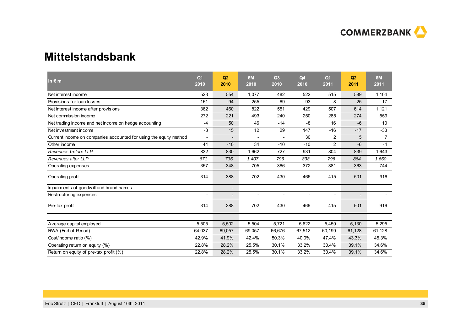

### **Mittelstandsbank**

| in $\epsilon$ m                                                   | Q <sub>1</sub><br>2010   | Q2<br>2010               | 6M<br>2010               | Q3<br>2010               | Q <sub>4</sub><br>2010   | Q <sub>1</sub><br>2011   | Q <sub>2</sub><br>2011   | 6M<br>2011     |
|-------------------------------------------------------------------|--------------------------|--------------------------|--------------------------|--------------------------|--------------------------|--------------------------|--------------------------|----------------|
| Net interest income                                               | 523                      | 554                      | 1,077                    | 482                      | 522                      | 515                      | 589                      | 1,104          |
| Provisions for loan losses                                        | $-161$                   | $-94$                    | $-255$                   | 69                       | -93                      | -8                       | 25                       | 17             |
| Net interest income after provisions                              | 362                      | 460                      | 822                      | 551                      | 429                      | 507                      | 614                      | 1,121          |
| Net commission income                                             | 272                      | 221                      | 493                      | 240                      | 250                      | 285                      | 274                      | 559            |
| Net trading income and net income on hedge accounting             | $-4$                     | 50                       | 46                       | $-14$                    | -8                       | 16                       | $-6$                     | 10             |
| Net investment income                                             | $-3$                     | 15                       | 12                       | 29                       | 147                      | $-16$                    | $-17$                    | $-33$          |
| Current income on companies accounted for using the equity method |                          |                          |                          |                          | 30                       | 2                        | 5                        | $\overline{7}$ |
| Other income                                                      | 44                       | $-10$                    | 34                       | $-10$                    | $-10$                    | 2                        | $-6$                     | $-4$           |
| Revenues before LLP                                               | 832                      | 830                      | 1,662                    | 727                      | 931                      | 804                      | 839                      | 1,643          |
| Revenues after LLP                                                | 671                      | 736                      | 1,407                    | 796                      | 838                      | 796                      | 864                      | 1,660          |
| Operating expenses                                                | 357                      | 348                      | 705                      | 366                      | 372                      | 381                      | 363                      | 744            |
| Operating profit                                                  | 314                      | 388                      | 702                      | 430                      | 466                      | 415                      | 501                      | 916            |
| Impairments of goodwill and brand names                           | $\overline{\phantom{a}}$ | $\overline{\phantom{a}}$ | $\overline{a}$           | $\overline{a}$           | $\blacksquare$           | $\overline{\phantom{a}}$ | $\overline{\phantom{a}}$ |                |
| Restructuring expenses                                            | $\overline{\phantom{a}}$ | $\overline{\phantom{a}}$ | $\overline{\phantom{a}}$ | $\overline{\phantom{a}}$ | $\overline{\phantom{a}}$ | $\overline{\phantom{a}}$ | $\overline{\phantom{a}}$ |                |
| Pre-tax profit                                                    | 314                      | 388                      | 702                      | 430                      | 466                      | 415                      | 501                      | 916            |
|                                                                   |                          |                          |                          |                          |                          |                          |                          |                |
| Average capital employed                                          | 5,505                    | 5,502                    | 5,504                    | 5,721                    | 5,622                    | 5,459                    | 5,130                    | 5,295          |
| RWA (End of Period)                                               | 64,037                   | 69,057                   | 69,057                   | 66,676                   | 67,512                   | 60,199                   | 61,128                   | 61,128         |
| Cost/income ratio (%)                                             | 42.9%                    | 41.9%                    | 42.4%                    | 50.3%                    | 40.0%                    | 47.4%                    | 43.3%                    | 45.3%          |
| Operating return on equity (%)                                    | 22.8%                    | 28.2%                    | 25.5%                    | 30.1%                    | 33.2%                    | 30.4%                    | 39.1%                    | 34.6%          |
| Return on equity of pre-tax profit (%)                            | 22.8%                    | 28.2%                    | 25.5%                    | 30.1%                    | 33.2%                    | 30.4%                    | 39.1%                    | 34.6%          |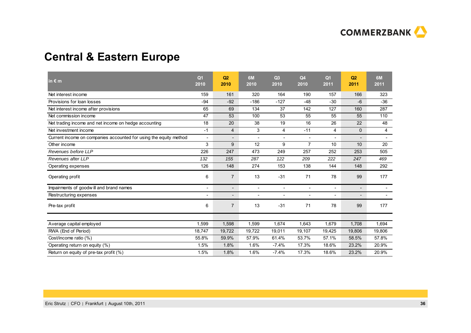

# **Central & Eastern Europe**

| in $\epsilon$ m                                                   | Q <sub>1</sub><br>2010   | Q2<br>2010               | 6M<br>2010               | Q3<br>2010               | Q <sub>4</sub><br>2010   | Q <sub>1</sub><br>2011   | Q <sub>2</sub><br>2011   | 6M<br>2011               |
|-------------------------------------------------------------------|--------------------------|--------------------------|--------------------------|--------------------------|--------------------------|--------------------------|--------------------------|--------------------------|
| Net interest income                                               | 159                      | 161                      | 320                      | 164                      | 190                      | 157                      | 166                      | 323                      |
| Provisions for loan losses                                        | $-94$                    | $-92$                    | $-186$                   | $-127$                   | $-48$                    | $-30$                    | $-6$                     | $-36$                    |
| Net interest income after provisions                              | 65                       | 69                       | 134                      | 37                       | 142                      | 127                      | 160                      | 287                      |
| Net commission income                                             | 47                       | 53                       | 100                      | 53                       | 55                       | 55                       | 55                       | 110                      |
| Net trading income and net income on hedge accounting             | 18                       | 20                       | 38                       | 19                       | 16                       | 26                       | 22                       | 48                       |
| Net investment income                                             | $-1$                     | 4                        | 3                        | 4                        | $-11$                    | 4                        | 0                        | 4                        |
| Current income on companies accounted for using the equity method | $\blacksquare$           | $\overline{a}$           | $\blacksquare$           | $\overline{\phantom{a}}$ | $\overline{\phantom{a}}$ | $\blacksquare$           | $\overline{\phantom{a}}$ |                          |
| Other income                                                      | 3                        | 9                        | 12                       | 9                        | $\overline{7}$           | 10                       | 10                       | 20                       |
| Revenues before LLP                                               | 226                      | 247                      | 473                      | 249                      | 257                      | 252                      | 253                      | 505                      |
| Revenues after LLP                                                | 132                      | 155                      | 287                      | 122                      | 209                      | 222                      | 247                      | 469                      |
| Operating expenses                                                | 126                      | 148                      | 274                      | 153                      | 138                      | 144                      | 148                      | 292                      |
| Operating profit                                                  | 6                        | $\overline{7}$           | 13                       | $-31$                    | 71                       | 78                       | 99                       | 177                      |
| Impairments of goodwill and brand names                           |                          | $\overline{\phantom{a}}$ | $\blacksquare$           | $\blacksquare$           | $\overline{\phantom{a}}$ | $\overline{\phantom{a}}$ | $\overline{\phantom{a}}$ |                          |
| Restructuring expenses                                            | $\overline{\phantom{a}}$ | $\overline{a}$           | $\overline{\phantom{a}}$ | $\overline{\phantom{a}}$ | $\blacksquare$           | $\blacksquare$           | $\overline{\phantom{a}}$ | $\overline{\phantom{a}}$ |
| Pre-tax profit                                                    | 6                        | $\overline{7}$           | 13                       | $-31$                    | 71                       | 78                       | 99                       | 177                      |
| Average capital employed                                          | 1,599                    | 1,598                    | 1,599                    | 1,674                    | 1,643                    | 1,679                    | 1,708                    | 1,694                    |
| RWA (End of Period)                                               | 18,747                   | 19,722                   | 19,722                   | 19,011                   | 19,107                   | 19,425                   | 19,806                   | 19,806                   |
|                                                                   | 55.8%                    |                          | 57.9%                    |                          | 53.7%                    |                          |                          | 57.8%                    |
| Cost/income ratio (%)                                             |                          | 59.9%                    |                          | 61.4%                    |                          | 57.1%                    | 58.5%                    |                          |
| Operating return on equity (%)                                    | 1.5%                     | 1.8%                     | 1.6%                     | $-7.4%$                  | 17.3%                    | 18.6%                    | 23.2%                    | 20.9%                    |
| Return on equity of pre-tax profit (%)                            | 1.5%                     | 1.8%                     | 1.6%                     | $-7.4%$                  | 17.3%                    | 18.6%                    | 23.2%                    | 20.9%                    |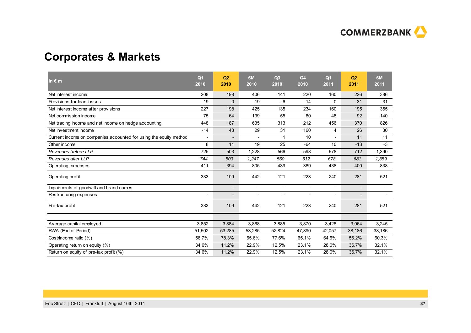

# **Corporates & Markets**

| in $\epsilon$ m                                                   | Q <sub>1</sub><br>2010 | Q2<br>2010               | 6M<br>2010               | Q3<br>2010               | Q <sub>4</sub><br>2010   | Q <sub>1</sub><br>2011   | Q2<br>2011               | 6M<br>2011               |
|-------------------------------------------------------------------|------------------------|--------------------------|--------------------------|--------------------------|--------------------------|--------------------------|--------------------------|--------------------------|
| Net interest income                                               | 208                    | 198                      | 406                      | 141                      | 220                      | 160                      | 226                      | 386                      |
| Provisions for loan losses                                        | 19                     | 0                        | 19                       | $-6$                     | 14                       | 0                        | $-31$                    | $-31$                    |
| Net interest income after provisions                              | 227                    | 198                      | 425                      | 135                      | 234                      | 160                      | 195                      | 355                      |
| Net commission income                                             | 75                     | 64                       | 139                      | 55                       | 60                       | 48                       | 92                       | 140                      |
| Net trading income and net income on hedge accounting             | 448                    | 187                      | 635                      | 313                      | 212                      | 456                      | 370                      | 826                      |
| Net investment income                                             | $-14$                  | 43                       | 29                       | 31                       | 160                      | 4                        | 26                       | 30                       |
| Current income on companies accounted for using the equity method |                        | $\overline{\phantom{a}}$ |                          | 1                        | 10                       |                          | 11                       | 11                       |
| Other income                                                      | 8                      | 11                       | 19                       | 25                       | $-64$                    | 10                       | $-13$                    | $-3$                     |
| Revenues before LLP                                               | 725                    | 503                      | 1,228                    | 566                      | 598                      | 678                      | 712                      | 1,390                    |
| Revenues after LLP                                                | 744                    | 503                      | 1,247                    | 560                      | 612                      | 678                      | 681                      | 1,359                    |
| Operating expenses                                                | 411                    | 394                      | 805                      | 439                      | 389                      | 438                      | 400                      | 838                      |
| Operating profit                                                  | 333                    | 109                      | 442                      | 121                      | 223                      | 240                      | 281                      | 521                      |
| Impairments of goodwill and brand names                           |                        | $\overline{\phantom{a}}$ | $\overline{\phantom{a}}$ | $\overline{\phantom{a}}$ | $\overline{\phantom{a}}$ | $\overline{\phantom{0}}$ | $\overline{\phantom{0}}$ | $\overline{\phantom{0}}$ |
| Restructuring expenses                                            |                        | $\overline{\phantom{a}}$ | $\overline{\phantom{a}}$ | $\overline{\phantom{a}}$ | $\overline{\phantom{a}}$ | $\overline{a}$           | $\overline{\phantom{0}}$ | $\overline{\phantom{0}}$ |
| Pre-tax profit                                                    | 333                    | 109                      | 442                      | 121                      | 223                      | 240                      | 281                      | 521                      |
|                                                                   | 3.852                  | 3,884                    | 3,868                    | 3,885                    | 3,870                    | 3,426                    | 3,064                    | 3,245                    |
| Average capital employed                                          |                        |                          |                          |                          |                          |                          |                          |                          |
| RWA (End of Period)                                               | 51,502                 | 53,285                   | 53,285                   | 52,824                   | 47,890                   | 42,057                   | 38,186                   | 38,186                   |
| Cost/income ratio (%)                                             | 56.7%                  | 78.3%                    | 65.6%                    | 77.6%                    | 65.1%                    | 64.6%                    | 56.2%                    | 60.3%                    |
| Operating return on equity (%)                                    | 34.6%                  | 11.2%                    | 22.9%                    | 12.5%                    | 23.1%                    | 28.0%                    | 36.7%                    | 32.1%                    |
| Return on equity of pre-tax profit (%)                            | 34.6%                  | 11.2%                    | 22.9%                    | 12.5%                    | 23.1%                    | 28.0%                    | 36.7%                    | 32.1%                    |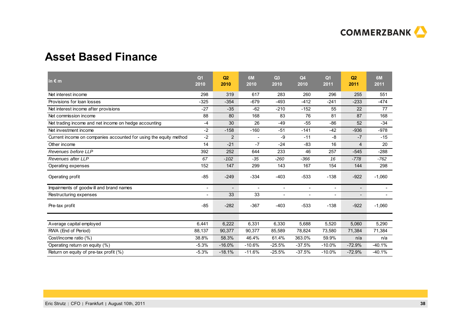

### **Asset Based Finance**

| in $\epsilon$ m                                                   | Q <sub>1</sub><br>2010   | Q2<br>2010               | 6M<br>2010               | Q3<br>2010               | Q <sub>4</sub><br>2010   | Q <sub>1</sub><br>2011   | Q <sub>2</sub><br>2011   | 6M<br>2011 |
|-------------------------------------------------------------------|--------------------------|--------------------------|--------------------------|--------------------------|--------------------------|--------------------------|--------------------------|------------|
| Net interest income                                               | 298                      | 319                      | 617                      | 283                      | 260                      | 296                      | 255                      | 551        |
| Provisions for loan losses                                        | $-325$                   | $-354$                   | $-679$                   | $-493$                   | $-412$                   | $-241$                   | $-233$                   | $-474$     |
| Net interest income after provisions                              | $-27$                    | $-35$                    | $-62$                    | $-210$                   | $-152$                   | 55                       | 22                       | 77         |
| Net commission income                                             | 88                       | 80                       | 168                      | 83                       | 76                       | 81                       | 87                       | 168        |
| Net trading income and net income on hedge accounting             | $-4$                     | 30                       | 26                       | $-49$                    | $-55$                    | $-86$                    | 52                       | $-34$      |
| Net investment income                                             | $-2$                     | $-158$                   | $-160$                   | $-51$                    | $-141$                   | $-42$                    | $-936$                   | $-978$     |
| Current income on companies accounted for using the equity method | $-2$                     | $\overline{2}$           |                          | -9                       | $-11$                    | -8                       | $-7$                     | $-15$      |
| Other income                                                      | 14                       | $-21$                    | $-7$                     | $-24$                    | $-83$                    | 16                       | 4                        | 20         |
| Revenues before LLP                                               | 392                      | 252                      | 644                      | 233                      | 46                       | 257                      | $-545$                   | $-288$     |
| Revenues after LLP                                                | 67                       | $-102$                   | $-35$                    | $-260$                   | $-366$                   | 16                       | $-778$                   | $-762$     |
| Operating expenses                                                | 152                      | 147                      | 299                      | 143                      | 167                      | 154                      | 144                      | 298        |
| Operating profit                                                  | $-85$                    | $-249$                   | $-334$                   | $-403$                   | $-533$                   | $-138$                   | $-922$                   | $-1,060$   |
| Impairments of goodwill and brand names                           |                          | $\overline{\phantom{a}}$ | $\overline{\phantom{a}}$ | $\overline{\phantom{a}}$ | $\overline{\phantom{a}}$ | $\overline{\phantom{a}}$ | $\overline{\phantom{a}}$ |            |
| Restructuring expenses                                            | $\overline{\phantom{a}}$ | 33                       | 33                       | $\blacksquare$           | $\overline{\phantom{a}}$ | $\overline{\phantom{a}}$ | $\overline{\phantom{a}}$ |            |
| Pre-tax profit                                                    | $-85$                    | $-282$                   | $-367$                   | $-403$                   | $-533$                   | $-138$                   | $-922$                   | $-1,060$   |
|                                                                   |                          |                          |                          |                          |                          |                          |                          |            |
| Average capital employed                                          | 6,441                    | 6,222                    | 6,331                    | 6,330                    | 5,688                    | 5,520                    | 5,060                    | 5,290      |
| RWA (End of Period)                                               | 88,137                   | 90,377                   | 90,377                   | 85,589                   | 78,824                   | 73,580                   | 71,384                   | 71,384     |
| Cost/income ratio (%)                                             | 38.8%                    | 58.3%                    | 46.4%                    | 61.4%                    | 363.0%                   | 59.9%                    | n/a                      | n/a        |
| Operating return on equity (%)                                    | $-5.3%$                  | $-16.0%$                 | $-10.6%$                 | $-25.5%$                 | $-37.5%$                 | $-10.0%$                 | $-72.9%$                 | $-40.1%$   |
| Return on equity of pre-tax profit (%)                            | $-5.3%$                  | $-18.1%$                 | $-11.6%$                 | $-25.5%$                 | $-37.5%$                 | $-10.0%$                 | $-72.9%$                 | $-40.1%$   |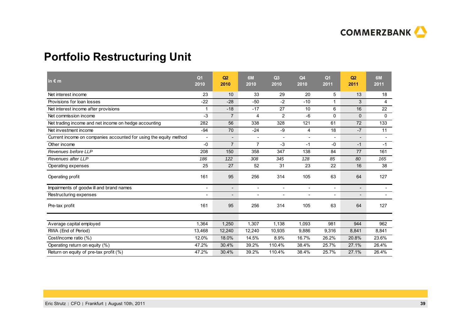

# **Portfolio Restructuring Unit**

| in $\epsilon$ m                                                   | Q <sub>1</sub><br>2010 | Q2<br>2010               | 6M<br>2010               | Q3<br>2010               | Q <sub>4</sub><br>2010 | Q <sub>1</sub><br>2011   | Q2<br>2011               | 6M<br>2011               |
|-------------------------------------------------------------------|------------------------|--------------------------|--------------------------|--------------------------|------------------------|--------------------------|--------------------------|--------------------------|
| Net interest income                                               | 23                     | 10                       | 33                       | 29                       | 20                     | 5                        | 13                       | 18                       |
| Provisions for loan losses                                        | $-22$                  | $-28$                    | $-50$                    | $-2$                     | $-10$                  | 1                        | 3                        | $\overline{4}$           |
| Net interest income after provisions                              | 1                      | $-18$                    | $-17$                    | 27                       | 10                     | 6                        | 16                       | 22                       |
| Net commission income                                             | $-3$                   | $\overline{7}$           | 4                        | 2                        | $-6$                   | 0                        | $\mathbf{0}$             | $\mathbf 0$              |
| Net trading income and net income on hedge accounting             | 282                    | 56                       | 338                      | 328                      | 121                    | 61                       | 72                       | 133                      |
| Net investment income                                             | $-94$                  | 70                       | $-24$                    | $-9$                     | $\overline{4}$         | 18                       | $-7$                     | 11                       |
| Current income on companies accounted for using the equity method |                        | $\overline{\phantom{a}}$ |                          | $\sim$                   | ٠                      | ۰                        | $\overline{\phantom{a}}$ | $\overline{\phantom{a}}$ |
| Other income                                                      | $-0$                   | $\overline{7}$           | $\overline{7}$           | $-3$                     | $-1$                   | $-0$                     | $-1$                     | $-1$                     |
| Revenues before LLP                                               | 208                    | 150                      | 358                      | 347                      | 138                    | 84                       | 77                       | 161                      |
| Revenues after LLP                                                | 186                    | 122                      | 308                      | 345                      | 128                    | 85                       | 80                       | 165                      |
| Operating expenses                                                | 25                     | 27                       | 52                       | 31                       | 23                     | 22                       | 16                       | 38                       |
| Operating profit                                                  | 161                    | 95                       | 256                      | 314                      | 105                    | 63                       | 64                       | 127                      |
| Impairments of goodwill and brand names                           |                        | $\overline{\phantom{a}}$ | $\blacksquare$           | $\blacksquare$           | $\blacksquare$         | $\overline{\phantom{a}}$ | $\overline{\phantom{0}}$ | $\blacksquare$           |
| Restructuring expenses                                            |                        | $\overline{\phantom{a}}$ | $\overline{\phantom{a}}$ | $\overline{\phantom{a}}$ | $\blacksquare$         | $\overline{\phantom{a}}$ | $\overline{\phantom{a}}$ | $\overline{\phantom{a}}$ |
| Pre-tax profit                                                    | 161                    | 95                       | 256                      | 314                      | 105                    | 63                       | 64                       | 127                      |
| Average capital employed                                          | 1,364                  | 1,250                    | 1,307                    | 1,138                    | 1,093                  | 981                      | 944                      | 962                      |
| RWA (End of Period)                                               | 13,468                 | 12,240                   | 12,240                   | 10,935                   | 9,886                  | 9,316                    | 8,841                    | 8,841                    |
| Cost/income ratio (%)                                             | 12.0%                  | 18.0%                    | 14.5%                    | 8.9%                     | 16.7%                  | 26.2%                    | 20.8%                    | 23.6%                    |
| Operating return on equity (%)                                    | 47.2%                  | 30.4%                    | 39.2%                    | 110.4%                   | 38.4%                  | 25.7%                    | 27.1%                    | 26.4%                    |
| Return on equity of pre-tax profit (%)                            | 47.2%                  | 30.4%                    | 39.2%                    | 110.4%                   | 38.4%                  | 25.7%                    | 27.1%                    | 26.4%                    |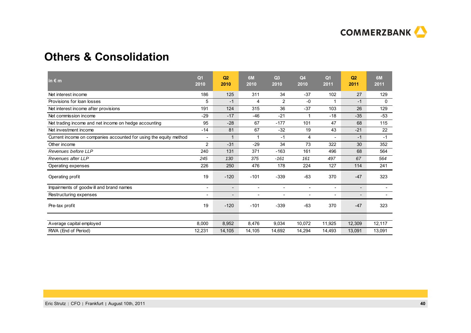

### **Others & Consolidation**

| in $\epsilon$ m                                                   | Q <sub>1</sub><br>2010   | Q <sub>2</sub><br>2010   | 6M<br>2010               | Q3<br>2010               | Q <sub>4</sub><br>2010   | Q <sub>1</sub><br>2011   | Q <sub>2</sub><br>2011   | 6M<br>2011   |
|-------------------------------------------------------------------|--------------------------|--------------------------|--------------------------|--------------------------|--------------------------|--------------------------|--------------------------|--------------|
| Net interest income                                               | 186                      | 125                      | 311                      | 34                       | $-37$                    | 102                      | 27                       | 129          |
| Provisions for loan losses                                        | 5                        | $-1$                     | 4                        | $\overline{2}$           | $-0$                     |                          | $-1$                     | $\mathbf{0}$ |
| Net interest income after provisions                              | 191                      | 124                      | 315                      | 36                       | $-37$                    | 103                      | 26                       | 129          |
| Net commission income                                             | $-29$                    | $-17$                    | $-46$                    | $-21$                    | 4                        | $-18$                    | $-35$                    | $-53$        |
| Net trading income and net income on hedge accounting             | 95                       | $-28$                    | 67                       | $-177$                   | 101                      | 47                       | 68                       | 115          |
| Net investment income                                             | $-14$                    | 81                       | 67                       | $-32$                    | 19                       | 43                       | $-21$                    | 22           |
| Current income on companies accounted for using the equity method | $\overline{\phantom{a}}$ | 1                        | 1                        | $-1$                     | 4                        | $\overline{\phantom{a}}$ | $-1$                     | $-1$         |
| Other income                                                      | $\overline{2}$           | $-31$                    | $-29$                    | 34                       | 73                       | 322                      | 30                       | 352          |
| Revenues before LLP                                               | 240                      | 131                      | 371                      | $-163$                   | 161                      | 496                      | 68                       | 564          |
| Revenues after LLP                                                | 245                      | 130                      | 375                      | $-161$                   | 161                      | 497                      | 67                       | 564          |
| Operating expenses                                                | 226                      | 250                      | 476                      | 178                      | 224                      | 127                      | 114                      | 241          |
| Operating profit                                                  | 19                       | $-120$                   | $-101$                   | $-339$                   | $-63$                    | 370                      | $-47$                    | 323          |
| Impairments of goodwill and brand names                           | $\overline{\phantom{a}}$ | $\overline{\phantom{a}}$ | $\overline{\phantom{a}}$ | $\overline{\phantom{a}}$ | $\overline{\phantom{a}}$ | $\overline{\phantom{a}}$ | $\overline{\phantom{a}}$ |              |
| Restructuring expenses                                            |                          | $\overline{\phantom{a}}$ | $\overline{\phantom{a}}$ | $\overline{\phantom{a}}$ | $\blacksquare$           | $\overline{\phantom{a}}$ | $\overline{\phantom{a}}$ |              |
| Pre-tax profit                                                    | 19                       | $-120$                   | $-101$                   | $-339$                   | $-63$                    | 370                      | $-47$                    | 323          |
|                                                                   |                          |                          |                          |                          |                          |                          |                          |              |
| Average capital employed                                          | 8,000                    | 8,952                    | 8,476                    | 9,034                    | 10,072                   | 11,925                   | 12,309                   | 12,117       |
| RWA (End of Period)                                               | 12,231                   | 14,105                   | 14,105                   | 14,692                   | 14.294                   | 14,493                   | 13,091                   | 13,091       |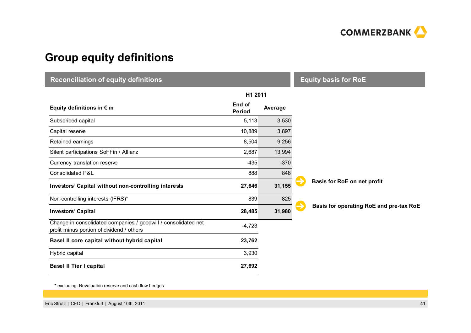

# **Group equity definitions**

| <b>Reconciliation of equity definitions</b>                                                                 | <b>Equity basis for RoE</b> |         |                                         |  |  |
|-------------------------------------------------------------------------------------------------------------|-----------------------------|---------|-----------------------------------------|--|--|
|                                                                                                             | H1 2011                     |         |                                         |  |  |
| Equity definitions in $\epsilon$ m                                                                          | End of<br><b>Period</b>     | Average |                                         |  |  |
| Subscribed capital                                                                                          | 5,113                       | 3,530   |                                         |  |  |
| Capital reserve                                                                                             | 10,889                      | 3,897   |                                         |  |  |
| Retained earnings                                                                                           | 8,504                       | 9,256   |                                         |  |  |
| Silent participations SoFFin / Allianz                                                                      | 2,687                       | 13,994  |                                         |  |  |
| Currency translation reserve                                                                                | $-435$                      | $-370$  |                                         |  |  |
| Consolidated P&L                                                                                            | 888                         | 848     |                                         |  |  |
| Investors' Capital without non-controlling interests                                                        | 27,646                      | 31,155  | Basis for RoE on net profit             |  |  |
| Non-controlling interests (IFRS)*                                                                           | 839                         | 825     |                                         |  |  |
| <b>Investors' Capital</b>                                                                                   | 28,485                      | 31,980  | Basis for operating RoE and pre-tax RoE |  |  |
| Change in consolidated companies / goodwill / consolidated net<br>profit minus portion of dividend / others | $-4,723$                    |         |                                         |  |  |
| Basel II core capital without hybrid capital                                                                | 23,762                      |         |                                         |  |  |
| Hybrid capital                                                                                              | 3,930                       |         |                                         |  |  |
| <b>Basel II Tier I capital</b>                                                                              | 27,692                      |         |                                         |  |  |

\* excluding: Revaluation reserve and cash flow hedges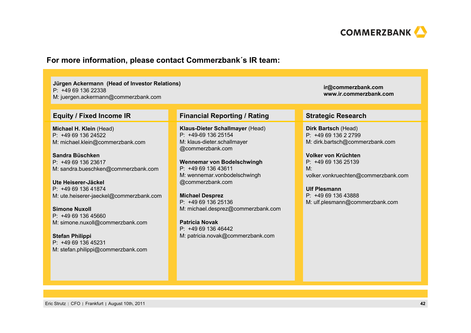

#### **For more information, please contact Commerzbank´s IR team:**

#### **Jürgen Ackermann (Head of Investor Relations)** P: +49 69 136 22338

M: juergen.ackermann@commerzbank.com

**Michael H. Klein** (Head) P: +49 69 136 24522M: michael.klein@commerzbank.com

**Sandra Büschken**P: +49 69 136 23617M: sandra.bueschken@commerzbank.com

**Ute Heiserer-Jäckel** P: +49 69 136 41874M: ute.heiserer-jaeckel@commerzbank.com

**Simone Nuxoll**P: +49 69 136 45660M: simone.nuxoll@commerzbank.com

**Stefan Philippi** P: +49 69 136 45231 M: stefan.philippi@commerzbank.com

#### **Equity / Fixed Income IR Financial Reporting / Rating Strategic Research**

**Klaus-Dieter Schallmayer** (Head) P: +49-69 136 25154M: klaus-dieter.schallmayer @commerzbank.com

**Wennemar von Bodelschwingh** P: +49 69 136 43611M: wennemar.vonbodelschwingh @commerzbank.com

**Michael Desprez** P: +49 69 136 25136M: michael.desprez@commerzbank.com

**Patricia Novak**P: +49 69 136 46442M: patricia.novak@commerzbank.com

**ir@commerzbank.com www.ir.commerzbank.com**

**Dirk Bartsch** (Head) P: +49 69 136 2 2799 M: dirk.bartsch@commerzbank.com

**Volker von Krüchten**P: +49 69 136 25139  $M^{\cdot}$ volker.vonkruechten@commerzbank.com

**Ulf Plesmann**P: +49 69 136 43888 M: ulf.plesmann@commerzbank.com